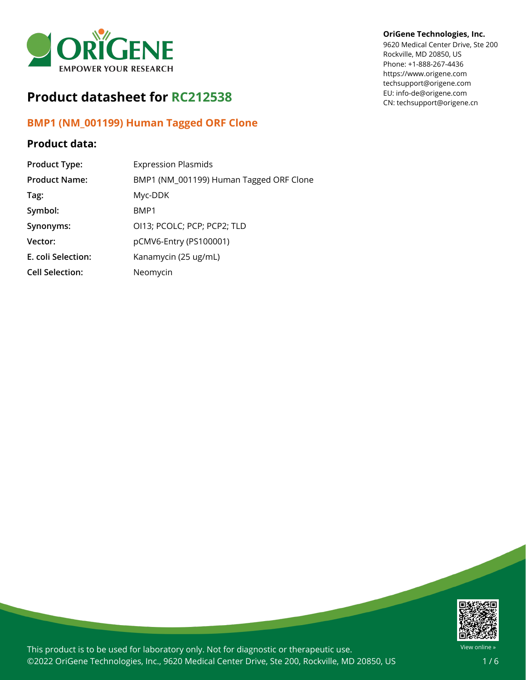

# **Product datasheet for RC212538**

## **BMP1 (NM\_001199) Human Tagged ORF Clone**

## **Product data:**

| <b>Product Type:</b>   | <b>Expression Plasmids</b>              |
|------------------------|-----------------------------------------|
| <b>Product Name:</b>   | BMP1 (NM_001199) Human Tagged ORF Clone |
| Tag:                   | Myc-DDK                                 |
| Symbol:                | BMP1                                    |
| Synonyms:              | OI13; PCOLC; PCP; PCP2; TLD             |
| Vector:                | pCMV6-Entry (PS100001)                  |
| E. coli Selection:     | Kanamycin (25 ug/mL)                    |
| <b>Cell Selection:</b> | Neomycin                                |

### **OriGene Technologies, Inc.**

9620 Medical Center Drive, Ste 200 Rockville, MD 20850, US Phone: +1-888-267-4436 https://www.origene.com techsupport@origene.com EU: info-de@origene.com CN: techsupport@origene.cn



This product is to be used for laboratory only. Not for diagnostic or therapeutic use. ©2022 OriGene Technologies, Inc., 9620 Medical Center Drive, Ste 200, Rockville, MD 20850, US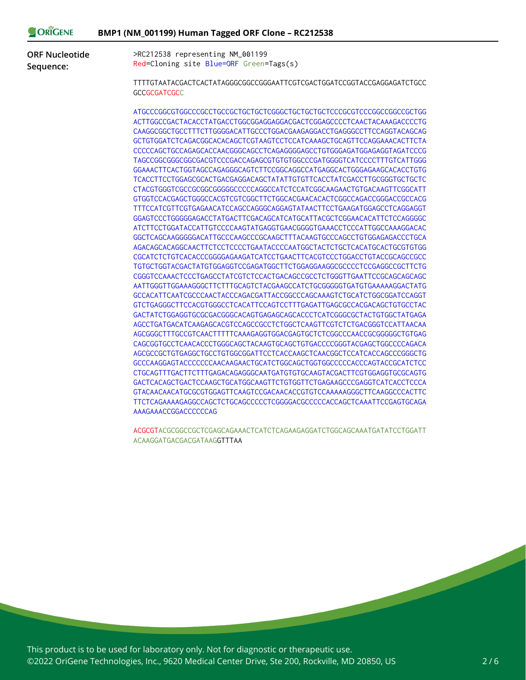| ORIGENE                            | BMP1 (NM_001199) Human Tagged ORF Clone - RC212538                                            |  |  |  |
|------------------------------------|-----------------------------------------------------------------------------------------------|--|--|--|
| <b>ORF Nucleotide</b><br>Sequence: | >RC212538 representing NM_001199<br>Red=Cloning site Blue=ORF Green=Tags(s)                   |  |  |  |
|                                    | TTTTGTAATACGACTCACTATAGGGCGGCCGGGAATTCGTCGACTGGATCCGGTACCGAGGAGATCTGCC<br><b>GCCGCGATCGCC</b> |  |  |  |
|                                    |                                                                                               |  |  |  |
|                                    | ACTTGGCCGACTACACCTATGACCTGGCGGAGGAGGACGACTCGGAGCCCCTCAACTACAAAGACCCCTG                        |  |  |  |
|                                    | CAAGGCGGCTGCCTTTCTTGGGGACATTGCCCTGGACGAAGAGGACCTGAGGGCCTTCCAGGTACAGCAG                        |  |  |  |
|                                    | GCTGTGGATCTCAGACGGCACACAGCTCGTAAGTCCTCCATCAAAGCTGCAGTTCCAGGAAACACTTCTA                        |  |  |  |
|                                    | CCCCCAGCTGCCAGAGCACCAACGGGCAGCCTCAGAGGGGAGCCTGTGGGAGATGGAGAGGTAGATCCCG                        |  |  |  |
|                                    | TAGCCGGCGGCGGCGACGTCCCGACCAGAGCGTGTGTGGCCCGATGGGGTCATCCCCTTTGTCATTGGG                         |  |  |  |
|                                    | GGAAACTTCACTGGTAGCCAGAGGGCAGTCTTCCGGCAGGCCATGAGGCACTGGGAGAAGCACACCTGTG                        |  |  |  |
|                                    | TCACCTTCCTGGAGCGCACTGACGAGGACAGCTATATTGTGTTCACCTATCGACCTTGCGGGTGCTGCTC                        |  |  |  |
|                                    | CTACGTGGGTCGCCGCGGGGGGGCCCCCAGGCCATCTCCATCGGCAAGAACTGTGACAAGTTCGGCATT                         |  |  |  |
|                                    | GTGGTCCACGAGCTGGGCCACGTCGTCGGCTTCTGGCACGAACACACTCGGCCAGACCGGGACCGCCACG                        |  |  |  |
|                                    | TTTCCATCGTTCGTGAGAACATCCAGCCAGGGCAGGAGTATAACTTCCTGAAGATGGAGCCTCAGGAGGT                        |  |  |  |
|                                    | GGAGTCCCTGGGGGAGACCTATGACTTCGACAGCATCATGCATTACGCTCGGAACACATTCTCCAGGGGC                        |  |  |  |
|                                    | ATCTTCCTGGATACCATTGTCCCCAAGTATGAGGTGAACGGGTGAAACCTCCCATTGGCCAAAGGACAC                         |  |  |  |
|                                    | GGCTCAGCAAGGGGGACATTGCCCAAGCCCGCAAGCTTTACAAGTGCCCAGCCTGTGGAGAGACCCTGCA                        |  |  |  |
|                                    | AGACAGCACAGGCAACTTCTCCTCCCCTGAATACCCCAATGGCTACTCTGCTCACATGCACTGCGTGTGG                        |  |  |  |
|                                    | CGCATCTCTGTCACACCCGGGGAGAAGATCATCCTGAACTTCACGTCCCTGGACCTGTACCGCAGCCGCC                        |  |  |  |
|                                    | TGTGCTGGTACGACTATGTGGAGGTCCGAGATGGCTTCTGGAGGAAGGCGCCCCTCCGAGGCCGCTTCTG                        |  |  |  |
|                                    | CGGGTCCAAACTCCCTGAGCCTATCGTCTCCACTGACAGCCGCCTCTGGGTTGAATTCCGCAGCAGCAGC                        |  |  |  |
|                                    | AATTGGGTTGGAAAGGGCTTCTTTGCAGTCTACGAAGCCATCTGCGGGGGTGATGTGAAAAAGGACTATG                        |  |  |  |
|                                    | GCCACATTCAATCGCCCAACTACCCAGACGATTACCGGCCCAGCAAAGTCTGCATCTGGCGGATCCAGGT                        |  |  |  |
|                                    | GTCTGAGGGCTTCCACGTGGGCCTCACATTCCAGTCCTTTGAGATTGAGCGCCACGACAGCTGTGCCTAC                        |  |  |  |
|                                    | GACTATCTGGAGGTGCGCGACGGGCACAGTGAGAGCAGCACCCTCATCGGGCGCTACTGTGGCTATGAGA                        |  |  |  |
|                                    | AGCCTGATGACATCAAGAGCACGTCCAGCCGCCTCTGGCTCAAGTTCGTCTCTGACGGGTCCATTAACAA                        |  |  |  |
|                                    | AGCGGGCTTTGCCGTCAACTTTTTCAAAGAGGTGGACGAGTGCTCTCGGCCCAACCGCGGGGGCTGTGAG                        |  |  |  |
|                                    | CAGCGGTGCCTCAACACCCTGGGCAGCTACAAGTGCAGCTGTGACCCCGGGTACGAGCTGGCCCCAGACA                        |  |  |  |
|                                    | AGCGCCGCTGTGAGGCTGCCTGTGGCGGATTCCTCACCAAGCTCAACGGCTCCATCACCAGCCCGGGCTG                        |  |  |  |
|                                    |                                                                                               |  |  |  |
|                                    | CTGCAGTTTGACTTCTTTGAGACAGAGGGCAATGATGTGTGCAAGTACGACTTCGTGGAGGTGCGCAGTG                        |  |  |  |
|                                    | GACTCACAGCTGACTCCAAGCTGCATGGCAAGTTCTGTGGTTCTGAGAAGCCCGAGGTCATCACCTCCCA                        |  |  |  |
|                                    | GTACAACAACATGCGCGTGGAGTTCAAGTCCGACAACACCGTGTCCAAAAAGGGCTTCAAGGCCCACTTC                        |  |  |  |
|                                    | TTCTCAGAAAAGAGGCCAGCTCTGCAGCCCCCTCGGGGACGCCCCCACCAGCTCAAATTCCGAGTGCAGA                        |  |  |  |
|                                    | AAAGAAACCGGACCCCCCAG                                                                          |  |  |  |
|                                    | ACGCGTACGCGGCCGCTCGAGCAGAAACTCATCTCAGAAGAGGATCTGGCAGCAAATGATATCCTGGATT                        |  |  |  |
|                                    | ACAAGGATGACGACGATAAGGTTTAA                                                                    |  |  |  |

This product is to be used for laboratory only. Not for diagnostic or therapeutic use. ©2022 OriGene Technologies, Inc., 9620 Medical Center Drive, Ste 200, Rockville, MD 20850, US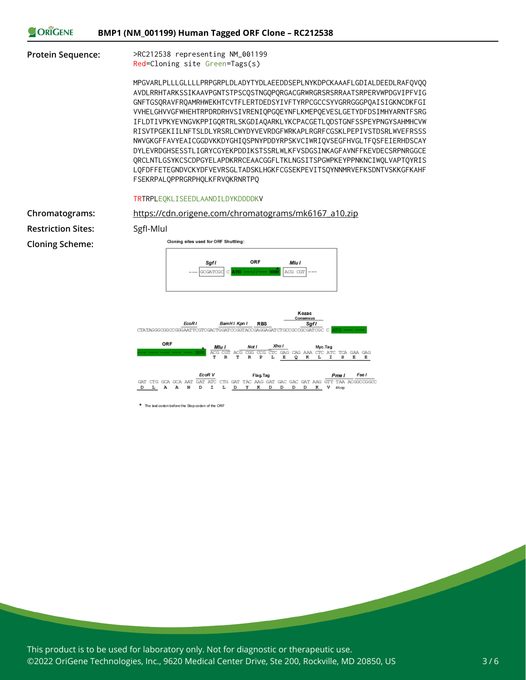|  |  | BMP1 (NM_001199) Human Tagged ORF Clone - RC212538 |  |
|--|--|----------------------------------------------------|--|
|--|--|----------------------------------------------------|--|

ORIGENE

**Protein Sequence:** >RC212538 representing NM\_001199 Red=Cloning site Green=Tags(s)

> MPGVARLPLLLGLLLLPRPGRPLDLADYTYDLAEEDDSEPLNYKDPCKAAAFLGDIALDEEDLRAFQVQQ AVDLRRHTARKSSIKAAVPGNTSTPSCQSTNGQPQRGACGRWRGRSRSRRAATSRPERVWPDGVIPFVIG GNFTGSQRAVFRQAMRHWEKHTCVTFLERTDEDSYIVFTYRPCGCCSYVGRRGGGPQAISIGKNCDKFGI VVHELGHVVGFWHEHTRPDRDRHVSIVRENIQPGQEYNFLKMEPQEVESLGETYDFDSIMHYARNTFSRG IFLDTIVPKYEVNGVKPPIGQRTRLSKGDIAQARKLYKCPACGETLQDSTGNFSSPEYPNGYSAHMHCVW RISVTPGEKIILNFTSLDLYRSRLCWYDYVEVRDGFWRKAPLRGRFCGSKLPEPIVSTDSRLWVEFRSSS NWVGKGFFAVYEAICGGDVKKDYGHIQSPNYPDDYRPSKVCIWRIQVSEGFHVGLTFQSFEIERHDSCAY DYLEVRDGHSESSTLIGRYCGYEKPDDIKSTSSRLWLKFVSDGSINKAGFAVNFFKEVDECSRPNRGGCE QRCLNTLGSYKCSCDPGYELAPDKRRCEAACGGFLTKLNGSITSPGWPKEYPPNKNCIWQLVAPTQYRIS LQFDFFETEGNDVCKYDFVEVRSGLTADSKLHGKFCGSEKPEVITSQYNNMRVEFKSDNTVSKKGFKAHF FSEKRPALQPPRGRPHQLKFRVQKRNRTPQ

#### TRTRPLEQKLISEEDLAANDILDYKDDDDKV

**Restriction Sites:** SgfI-MluI

**Cloning Scheme:**

#### **Chromatograms:** [https://cdn.origene.com/chromatograms/mk6167\\_a10.zip](https://cdn.origene.com/chromatograms/mk6167_a10.zip)





\* The last codon before the Stop codon of the ORF

This product is to be used for laboratory only. Not for diagnostic or therapeutic use. ©2022 OriGene Technologies, Inc., 9620 Medical Center Drive, Ste 200, Rockville, MD 20850, US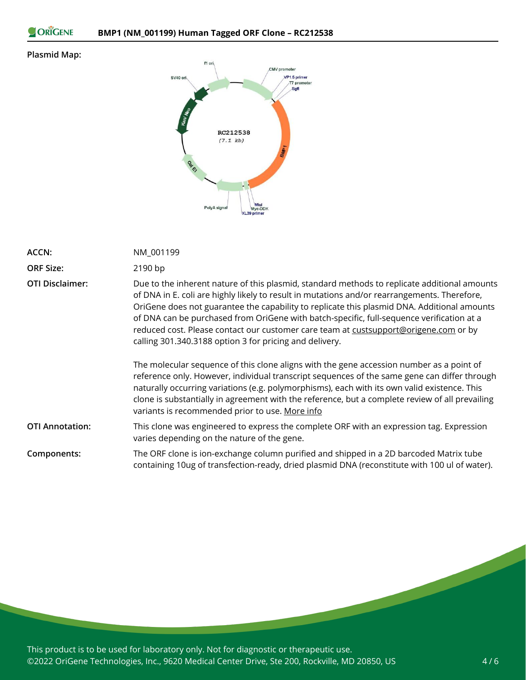```
ORIGENE
```
### **Plasmid Map:**



| ACCN:                  | NM_001199                                                                                                                                                                                                                                                                                                                                                                                                                                                                                                                                   |
|------------------------|---------------------------------------------------------------------------------------------------------------------------------------------------------------------------------------------------------------------------------------------------------------------------------------------------------------------------------------------------------------------------------------------------------------------------------------------------------------------------------------------------------------------------------------------|
| <b>ORF Size:</b>       | 2190 bp                                                                                                                                                                                                                                                                                                                                                                                                                                                                                                                                     |
| <b>OTI Disclaimer:</b> | Due to the inherent nature of this plasmid, standard methods to replicate additional amounts<br>of DNA in E. coli are highly likely to result in mutations and/or rearrangements. Therefore,<br>OriGene does not guarantee the capability to replicate this plasmid DNA. Additional amounts<br>of DNA can be purchased from OriGene with batch-specific, full-sequence verification at a<br>reduced cost. Please contact our customer care team at custsupport@origene.com or by<br>calling 301.340.3188 option 3 for pricing and delivery. |
|                        | The molecular sequence of this clone aligns with the gene accession number as a point of<br>reference only. However, individual transcript sequences of the same gene can differ through<br>naturally occurring variations (e.g. polymorphisms), each with its own valid existence. This<br>clone is substantially in agreement with the reference, but a complete review of all prevailing<br>variants is recommended prior to use. More info                                                                                              |
| <b>OTI Annotation:</b> | This clone was engineered to express the complete ORF with an expression tag. Expression<br>varies depending on the nature of the gene.                                                                                                                                                                                                                                                                                                                                                                                                     |
| Components:            | The ORF clone is ion-exchange column purified and shipped in a 2D barcoded Matrix tube<br>containing 10ug of transfection-ready, dried plasmid DNA (reconstitute with 100 ul of water).                                                                                                                                                                                                                                                                                                                                                     |

This product is to be used for laboratory only. Not for diagnostic or therapeutic use. ©2022 OriGene Technologies, Inc., 9620 Medical Center Drive, Ste 200, Rockville, MD 20850, US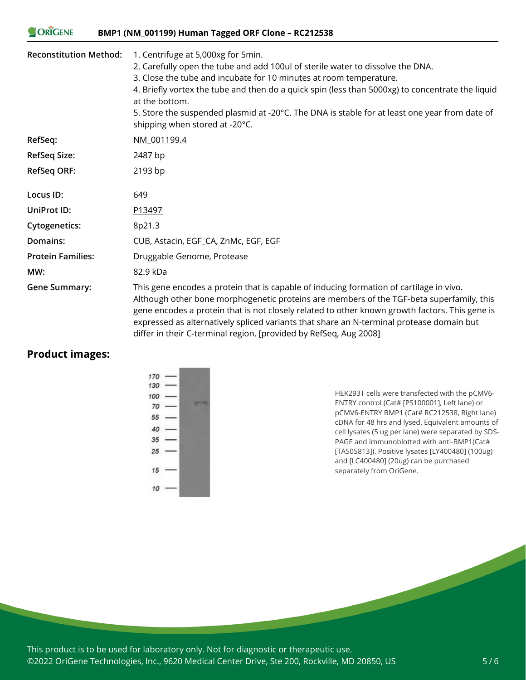#### ORIGENE **BMP1 (NM\_001199) Human Tagged ORF Clone – RC212538**

| <b>Reconstitution Method:</b> | 1. Centrifuge at 5,000xg for 5min.<br>2. Carefully open the tube and add 100ul of sterile water to dissolve the DNA.<br>3. Close the tube and incubate for 10 minutes at room temperature.<br>4. Briefly vortex the tube and then do a quick spin (less than 5000xg) to concentrate the liquid<br>at the bottom.<br>5. Store the suspended plasmid at -20°C. The DNA is stable for at least one year from date of<br>shipping when stored at -20°C.    |
|-------------------------------|--------------------------------------------------------------------------------------------------------------------------------------------------------------------------------------------------------------------------------------------------------------------------------------------------------------------------------------------------------------------------------------------------------------------------------------------------------|
| RefSeq:                       | NM 001199.4                                                                                                                                                                                                                                                                                                                                                                                                                                            |
| <b>RefSeq Size:</b>           | 2487 bp                                                                                                                                                                                                                                                                                                                                                                                                                                                |
| RefSeq ORF:                   | 2193 bp                                                                                                                                                                                                                                                                                                                                                                                                                                                |
| Locus ID:                     | 649                                                                                                                                                                                                                                                                                                                                                                                                                                                    |
| UniProt ID:                   | P13497                                                                                                                                                                                                                                                                                                                                                                                                                                                 |
| <b>Cytogenetics:</b>          | 8p21.3                                                                                                                                                                                                                                                                                                                                                                                                                                                 |
| <b>Domains:</b>               | CUB, Astacin, EGF_CA, ZnMc, EGF, EGF                                                                                                                                                                                                                                                                                                                                                                                                                   |
| <b>Protein Families:</b>      | Druggable Genome, Protease                                                                                                                                                                                                                                                                                                                                                                                                                             |
| MW:                           | 82.9 kDa                                                                                                                                                                                                                                                                                                                                                                                                                                               |
| <b>Gene Summary:</b>          | This gene encodes a protein that is capable of inducing formation of cartilage in vivo.<br>Although other bone morphogenetic proteins are members of the TGF-beta superfamily, this<br>gene encodes a protein that is not closely related to other known growth factors. This gene is<br>expressed as alternatively spliced variants that share an N-terminal protease domain but<br>differ in their C-terminal region. [provided by RefSeq, Aug 2008] |

### **Product images:**



HEK293T cells were transfected with the pCMV6- ENTRY control (Cat# [PS100001], Left lane) or pCMV6-ENTRY BMP1 (Cat# RC212538, Right lane) cDNA for 48 hrs and lysed. Equivalent amounts of cell lysates (5 ug per lane) were separated by SDS-PAGE and immunoblotted with anti-BMP1(Cat# [TA505813]). Positive lysates [LY400480] (100ug) and [LC400480] (20ug) can be purchased separately from OriGene.

This product is to be used for laboratory only. Not for diagnostic or therapeutic use. ©2022 OriGene Technologies, Inc., 9620 Medical Center Drive, Ste 200, Rockville, MD 20850, US